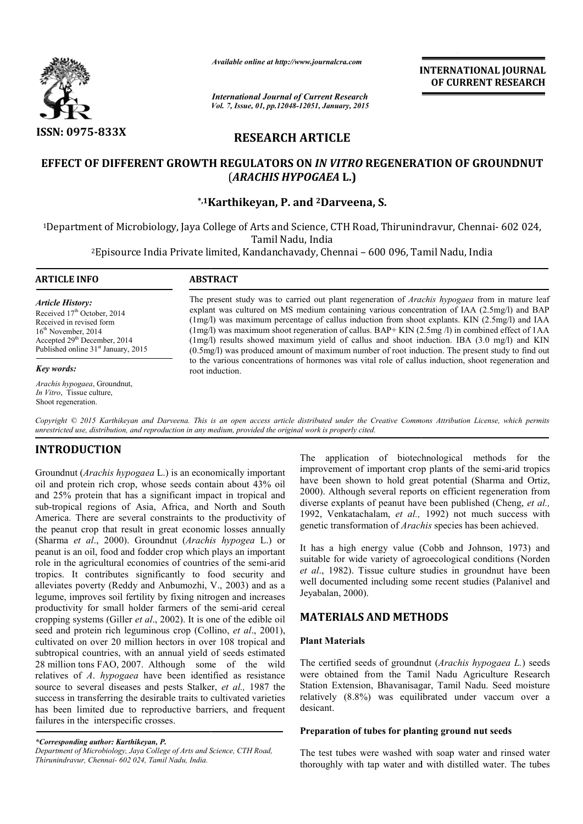

*Available online at http://www.journalcra.com*

# **RESEARCH ARTICLE**

## **EFFECT OF DIFFERENT GROWTH REGULATORS ON**  *IN VITRO* **REGENERATION OF GROUNDNUT**  (*ARACHIS HYPOGAEA* **L.)**

|                                                                                                                                                                                                                                                                                                                                                                                                                                                                                                                                                                                                                                                                                                                                                                                                                                                                                                                                                                                                                                                                                                                                                                                                                                                                                                                                                                                                                                                                                                                                                 | ттините опине и <i>нир.//www.</i> journucru.com<br><b>International Journal of Current Research</b>                                                                                                                                                                                                                                                                                                                                                                                                                                                                                                     | <b>INTERNATIONAL JOURNAL</b><br>OF CURRENT RESEARCH                                                                                                                                                                                                                                                                                                                                                                                                                                                                                                                                                                                                                                                                                                                                                                                                                                                                                                                                                                                                                                                                  |  |  |  |
|-------------------------------------------------------------------------------------------------------------------------------------------------------------------------------------------------------------------------------------------------------------------------------------------------------------------------------------------------------------------------------------------------------------------------------------------------------------------------------------------------------------------------------------------------------------------------------------------------------------------------------------------------------------------------------------------------------------------------------------------------------------------------------------------------------------------------------------------------------------------------------------------------------------------------------------------------------------------------------------------------------------------------------------------------------------------------------------------------------------------------------------------------------------------------------------------------------------------------------------------------------------------------------------------------------------------------------------------------------------------------------------------------------------------------------------------------------------------------------------------------------------------------------------------------|---------------------------------------------------------------------------------------------------------------------------------------------------------------------------------------------------------------------------------------------------------------------------------------------------------------------------------------------------------------------------------------------------------------------------------------------------------------------------------------------------------------------------------------------------------------------------------------------------------|----------------------------------------------------------------------------------------------------------------------------------------------------------------------------------------------------------------------------------------------------------------------------------------------------------------------------------------------------------------------------------------------------------------------------------------------------------------------------------------------------------------------------------------------------------------------------------------------------------------------------------------------------------------------------------------------------------------------------------------------------------------------------------------------------------------------------------------------------------------------------------------------------------------------------------------------------------------------------------------------------------------------------------------------------------------------------------------------------------------------|--|--|--|
|                                                                                                                                                                                                                                                                                                                                                                                                                                                                                                                                                                                                                                                                                                                                                                                                                                                                                                                                                                                                                                                                                                                                                                                                                                                                                                                                                                                                                                                                                                                                                 | Vol. 7, Issue, 01, pp.12048-12051, January, 2015                                                                                                                                                                                                                                                                                                                                                                                                                                                                                                                                                        |                                                                                                                                                                                                                                                                                                                                                                                                                                                                                                                                                                                                                                                                                                                                                                                                                                                                                                                                                                                                                                                                                                                      |  |  |  |
| ISSN: 0975-833X                                                                                                                                                                                                                                                                                                                                                                                                                                                                                                                                                                                                                                                                                                                                                                                                                                                                                                                                                                                                                                                                                                                                                                                                                                                                                                                                                                                                                                                                                                                                 | <b>RESEARCH ARTICLE</b>                                                                                                                                                                                                                                                                                                                                                                                                                                                                                                                                                                                 |                                                                                                                                                                                                                                                                                                                                                                                                                                                                                                                                                                                                                                                                                                                                                                                                                                                                                                                                                                                                                                                                                                                      |  |  |  |
| EFFECT OF DIFFERENT GROWTH REGULATORS ON IN VITRO REGENERATION OF GROUNDNUT<br>(ARACHIS HYPOGAEA L.)                                                                                                                                                                                                                                                                                                                                                                                                                                                                                                                                                                                                                                                                                                                                                                                                                                                                                                                                                                                                                                                                                                                                                                                                                                                                                                                                                                                                                                            |                                                                                                                                                                                                                                                                                                                                                                                                                                                                                                                                                                                                         |                                                                                                                                                                                                                                                                                                                                                                                                                                                                                                                                                                                                                                                                                                                                                                                                                                                                                                                                                                                                                                                                                                                      |  |  |  |
|                                                                                                                                                                                                                                                                                                                                                                                                                                                                                                                                                                                                                                                                                                                                                                                                                                                                                                                                                                                                                                                                                                                                                                                                                                                                                                                                                                                                                                                                                                                                                 |                                                                                                                                                                                                                                                                                                                                                                                                                                                                                                                                                                                                         | *,1Karthikeyan, P. and <sup>2</sup> Darveena, S.                                                                                                                                                                                                                                                                                                                                                                                                                                                                                                                                                                                                                                                                                                                                                                                                                                                                                                                                                                                                                                                                     |  |  |  |
|                                                                                                                                                                                                                                                                                                                                                                                                                                                                                                                                                                                                                                                                                                                                                                                                                                                                                                                                                                                                                                                                                                                                                                                                                                                                                                                                                                                                                                                                                                                                                 |                                                                                                                                                                                                                                                                                                                                                                                                                                                                                                                                                                                                         | <sup>1</sup> Department of Microbiology, Jaya College of Arts and Science, CTH Road, Thirunindravur, Chennai- 602 024,                                                                                                                                                                                                                                                                                                                                                                                                                                                                                                                                                                                                                                                                                                                                                                                                                                                                                                                                                                                               |  |  |  |
|                                                                                                                                                                                                                                                                                                                                                                                                                                                                                                                                                                                                                                                                                                                                                                                                                                                                                                                                                                                                                                                                                                                                                                                                                                                                                                                                                                                                                                                                                                                                                 |                                                                                                                                                                                                                                                                                                                                                                                                                                                                                                                                                                                                         | Tamil Nadu, India<br><sup>2</sup> Episource India Private limited, Kandanchavady, Chennai – 600 096, Tamil Nadu, India                                                                                                                                                                                                                                                                                                                                                                                                                                                                                                                                                                                                                                                                                                                                                                                                                                                                                                                                                                                               |  |  |  |
| <b>ARTICLE INFO</b>                                                                                                                                                                                                                                                                                                                                                                                                                                                                                                                                                                                                                                                                                                                                                                                                                                                                                                                                                                                                                                                                                                                                                                                                                                                                                                                                                                                                                                                                                                                             | <b>ABSTRACT</b>                                                                                                                                                                                                                                                                                                                                                                                                                                                                                                                                                                                         |                                                                                                                                                                                                                                                                                                                                                                                                                                                                                                                                                                                                                                                                                                                                                                                                                                                                                                                                                                                                                                                                                                                      |  |  |  |
| <b>Article History:</b><br>Received 17th October, 2014<br>Received in revised form<br>$16th$ November, 2014<br>Accepted 29 <sup>th</sup> December, 2014<br>Published online 31 <sup>st</sup> January, 2015                                                                                                                                                                                                                                                                                                                                                                                                                                                                                                                                                                                                                                                                                                                                                                                                                                                                                                                                                                                                                                                                                                                                                                                                                                                                                                                                      | The present study was to carried out plant regeneration of Arachis hypogaea from in mature leaf<br>explant was cultured on MS medium containing various concentration of IAA (2.5mg/l) and BAP<br>(1mg/l) was maximum percentage of callus induction from shoot explants. KIN (2.5mg/l) and IAA<br>$(1mg/l)$ was maximum shoot regeneration of callus. BAP+ KIN $(2.5mg/l)$ in combined effect of 1AA<br>(1mg/l) results showed maximum yield of callus and shoot induction. IBA (3.0 mg/l) and KIN<br>(0.5mg/l) was produced amount of maximum number of root induction. The present study to find out |                                                                                                                                                                                                                                                                                                                                                                                                                                                                                                                                                                                                                                                                                                                                                                                                                                                                                                                                                                                                                                                                                                                      |  |  |  |
| Key words:                                                                                                                                                                                                                                                                                                                                                                                                                                                                                                                                                                                                                                                                                                                                                                                                                                                                                                                                                                                                                                                                                                                                                                                                                                                                                                                                                                                                                                                                                                                                      | root induction.                                                                                                                                                                                                                                                                                                                                                                                                                                                                                                                                                                                         | to the various concentrations of hormones was vital role of callus induction, shoot regeneration and                                                                                                                                                                                                                                                                                                                                                                                                                                                                                                                                                                                                                                                                                                                                                                                                                                                                                                                                                                                                                 |  |  |  |
| Arachis hypogaea, Groundnut,<br>In Vitro, Tissue culture,<br>Shoot regeneration.                                                                                                                                                                                                                                                                                                                                                                                                                                                                                                                                                                                                                                                                                                                                                                                                                                                                                                                                                                                                                                                                                                                                                                                                                                                                                                                                                                                                                                                                |                                                                                                                                                                                                                                                                                                                                                                                                                                                                                                                                                                                                         |                                                                                                                                                                                                                                                                                                                                                                                                                                                                                                                                                                                                                                                                                                                                                                                                                                                                                                                                                                                                                                                                                                                      |  |  |  |
| unrestricted use, distribution, and reproduction in any medium, provided the original work is properly cited.                                                                                                                                                                                                                                                                                                                                                                                                                                                                                                                                                                                                                                                                                                                                                                                                                                                                                                                                                                                                                                                                                                                                                                                                                                                                                                                                                                                                                                   |                                                                                                                                                                                                                                                                                                                                                                                                                                                                                                                                                                                                         | Copyright © 2015 Karthikeyan and Darveena. This is an open access article distributed under the Creative Commons Attribution License, which permits                                                                                                                                                                                                                                                                                                                                                                                                                                                                                                                                                                                                                                                                                                                                                                                                                                                                                                                                                                  |  |  |  |
| <b>INTRODUCTION</b><br>Groundnut (Arachis hypogaea L.) is an economically important<br>oil and protein rich crop, whose seeds contain about 43% oil<br>and 25% protein that has a significant impact in tropical and<br>sub-tropical regions of Asia, Africa, and North and South<br>America. There are several constraints to the productivity of<br>the peanut crop that result in great economic losses annually<br>(Sharma et al., 2000). Groundnut (Arachis hypogea L.) or<br>peanut is an oil, food and fodder crop which plays an important<br>role in the agricultural economies of countries of the semi-arid<br>tropics. It contributes significantly to food security and<br>alleviates poverty (Reddy and Anbumozhi, V., 2003) and as a<br>legume, improves soil fertility by fixing nitrogen and increases<br>productivity for small holder farmers of the semi-arid cereal<br>cropping systems (Giller et al., 2002). It is one of the edible oil<br>seed and protein rich leguminous crop (Collino, et al., 2001),<br>cultivated on over 20 million hectors in over 108 tropical and<br>subtropical countries, with an annual yield of seeds estimated<br>28 million tons FAO, 2007. Although some of the wild<br>relatives of A. hypogaea have been identified as resistance<br>source to several diseases and pests Stalker, et al., 1987 the<br>success in transferring the desirable traits to cultivated varieties<br>has been limited due to reproductive barriers, and frequent<br>failures in the interspecific crosses. |                                                                                                                                                                                                                                                                                                                                                                                                                                                                                                                                                                                                         | The application of biotechnological methods for the<br>improvement of important crop plants of the semi-arid tropics<br>have been shown to hold great potential (Sharma and Ortiz,<br>2000). Although several reports on efficient regeneration from<br>diverse explants of peanut have been published (Cheng, et al.,<br>1992, Venkatachalam, et al., 1992) not much success with<br>genetic transformation of Arachis species has been achieved.<br>It has a high energy value (Cobb and Johnson, 1973) and<br>suitable for wide variety of agroecological conditions (Norden<br>et al., 1982). Tissue culture studies in groundnut have been<br>well documented including some recent studies (Palanivel and<br>Jeyabalan, 2000).<br><b>MATERIALS AND METHODS</b><br><b>Plant Materials</b><br>The certified seeds of ground nut (Arachis hypogaea L.) seeds<br>were obtained from the Tamil Nadu Agriculture Research<br>Station Extension, Bhavanisagar, Tamil Nadu. Seed moisture<br>relatively (8.8%) was equilibrated under vaccum over a<br>desicant.<br>Preparation of tubes for planting ground nut seeds |  |  |  |
| *Corresponding author: Karthikeyan, P.<br>Department of Microbiology, Jaya College of Arts and Science, CTH Road,<br>Thirunindravur, Chennai- 602 024, Tamil Nadu, India.                                                                                                                                                                                                                                                                                                                                                                                                                                                                                                                                                                                                                                                                                                                                                                                                                                                                                                                                                                                                                                                                                                                                                                                                                                                                                                                                                                       |                                                                                                                                                                                                                                                                                                                                                                                                                                                                                                                                                                                                         | The test tubes were washed with soap water and rinsed water<br>thoroughly with tap water and with distilled water. The tubes                                                                                                                                                                                                                                                                                                                                                                                                                                                                                                                                                                                                                                                                                                                                                                                                                                                                                                                                                                                         |  |  |  |

## **INTRODUCTION**

## **MATERIALS AND METHODS**

### **Plant Materials**

#### **Preparation of tubes for planting ground nut seeds of tubes**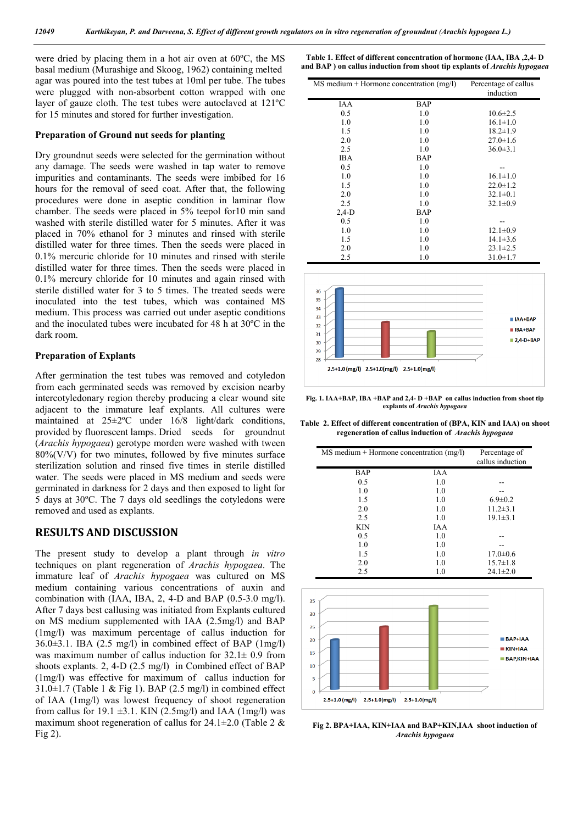were dried by placing them in a hot air oven at 60ºC, the MS basal medium (Murashige and Skoog, 1962) containing melted agar was poured into the test tubes at 10ml per tube. The tubes were plugged with non-absorbent cotton wrapped with one layer of gauze cloth. The test tubes were autoclaved at 121ºC for 15 minutes and stored for further investigation.

#### **Preparation of Ground nut seeds for planting**

Dry groundnut seeds were selected for the germination without any damage. The seeds were washed in tap water to remove impurities and contaminants. The seeds were imbibed for 16 hours for the removal of seed coat. After that, the following procedures were done in aseptic condition in laminar flow chamber. The seeds were placed in 5% teepol for10 min sand washed with sterile distilled water for 5 minutes. After it was placed in 70% ethanol for 3 minutes and rinsed with sterile distilled water for three times. Then the seeds were placed in 0.1% mercuric chloride for 10 minutes and rinsed with sterile distilled water for three times. Then the seeds were placed in 0.1% mercury chloride for 10 minutes and again rinsed with sterile distilled water for 3 to 5 times. The treated seeds were inoculated into the test tubes, which was contained MS medium. This process was carried out under aseptic conditions and the inoculated tubes were incubated for 48 h at 30ºC in the dark room.

#### **Preparation of Explants**

After germination the test tubes was removed and cotyledon from each germinated seeds was removed by excision nearby intercotyledonary region thereby producing a clear wound site adjacent to the immature leaf explants. All cultures were maintained at 25±2ºC under 16/8 light/dark conditions, provided by fluorescent lamps. Dried seeds for groundnut (*Arachis hypogaea*) gerotype morden were washed with tween  $80\%(V/V)$  for two minutes, followed by five minutes surface sterilization solution and rinsed five times in sterile distilled water. The seeds were placed in MS medium and seeds were germinated in darkness for 2 days and then exposed to light for 5 days at 30ºC. The 7 days old seedlings the cotyledons were removed and used as explants.

### **RESULTS AND DISCUSSION**

The present study to develop a plant through *in vitro* techniques on plant regeneration of *Arachis hypogaea*. The immature leaf of *Arachis hypogaea* was cultured on MS medium containing various concentrations of auxin and combination with (IAA, IBA, 2, 4-D and BAP (0.5-3.0 mg/l). After 7 days best callusing was initiated from Explants cultured on MS medium supplemented with IAA (2.5mg/l) and BAP (1mg/l) was maximum percentage of callus induction for 36.0±3.1. IBA (2.5 mg/l) in combined effect of BAP (1mg/l) was maximum number of callus induction for  $32.1 \pm 0.9$  from shoots explants. 2, 4-D (2.5 mg/l) in Combined effect of BAP (1mg/l) was effective for maximum of callus induction for  $31.0 \pm 1.7$  (Table 1 & Fig 1). BAP (2.5 mg/l) in combined effect of IAA (1mg/l) was lowest frequency of shoot regeneration from callus for 19.1  $\pm$ 3.1. KIN (2.5mg/l) and IAA (1mg/l) was maximum shoot regeneration of callus for  $24.1 \pm 2.0$  (Table 2 & Fig 2).

**Table 1. Effect of different concentration of hormone (IAA, IBA ,2,4- D and BAP ) on callus induction from shoot tip explants of** *Arachis hypogaea*

| $MS$ medium + Hormone concentration (mg/l) |            | Percentage of callus<br>induction |
|--------------------------------------------|------------|-----------------------------------|
|                                            |            |                                   |
| IAA                                        | BAP        |                                   |
| 0.5                                        | 1.0        | $10.6 \pm 2.5$                    |
| 1.0                                        | 1.0        | $16.1 \pm 1.0$                    |
| 1.5                                        | 1.0        | $18.2 \pm 1.9$                    |
| 2.0                                        | 1.0        | $27.0 \pm 1.6$                    |
| 2.5                                        | 1.0        | $36.0 \pm 3.1$                    |
| IBA                                        | <b>BAP</b> |                                   |
| 0.5                                        | 1.0        |                                   |
| 1.0                                        | 1.0        | $16.1 \pm 1.0$                    |
| 1.5                                        | 1.0        | $22.0 \pm 1.2$                    |
| 2.0                                        | 1.0        | $32.1 \pm 0.1$                    |
| 2.5                                        | 1.0        | $32.1 \pm 0.9$                    |
| $2,4-D$                                    | <b>BAP</b> |                                   |
| 0.5                                        | 1.0        | --                                |
| 1.0                                        | 1.0        | $12.1 \pm 0.9$                    |
| 1.5                                        | 1.0        | $14.1 \pm 3.6$                    |
| 2.0                                        | 1.0        | $23.1 \pm 2.5$                    |
| 2.5                                        | 1.0        | $31.0 \pm 1.7$                    |



**Fig. 1. IAA+BAP, IBA +BAP and 2,4- D +BAP on callus induction from shoot tip explants of** *Arachis hypogaea*

**Table 2. Effect of different concentration of (BPA, KIN and IAA) on shoot regeneration of callus induction of** *Arachis hypogaea*

| MS medium + Hormone concentration (mg/l)                                                     |                  | Percentage of<br>callus induction            |
|----------------------------------------------------------------------------------------------|------------------|----------------------------------------------|
| <b>BAP</b>                                                                                   | <b>IAA</b>       |                                              |
| 0.5                                                                                          | 1.0              |                                              |
| 1.0                                                                                          | 1.0              |                                              |
| 1.5                                                                                          | 1.0              | $6.9 \pm 0.2$                                |
| 2.0                                                                                          | 1.0              | $11.2 \pm 3.1$                               |
| 2.5                                                                                          | 1.0              | $19.1 \pm 3.1$                               |
| <b>KIN</b>                                                                                   | <b>IAA</b>       |                                              |
| 0.5                                                                                          | 1.0              |                                              |
| 1.0                                                                                          | 1.0              |                                              |
| 1.5                                                                                          | 1.0              | $17.0 \pm 0.6$                               |
| 2.0                                                                                          | 1.0              | $15.7 \pm 1.8$                               |
| 2.5                                                                                          | 1.0              | $24.1 \pm 2.0$                               |
| 35<br>30<br>25<br>20<br>15<br>10<br>5<br>$\mathbf 0$<br>$2.5+1.0$ (mg/l)<br>$2.5+1.0$ (mg/l) | $2.5+1.0$ (mg/l) | $BAP+1AA$<br>$KIN+IAA$<br><b>BAP,KIN+IAA</b> |

**Fig 2. BPA+IAA, KIN+IAA and BAP+KIN,IAA shoot induction of**  *Arachis hypogaea*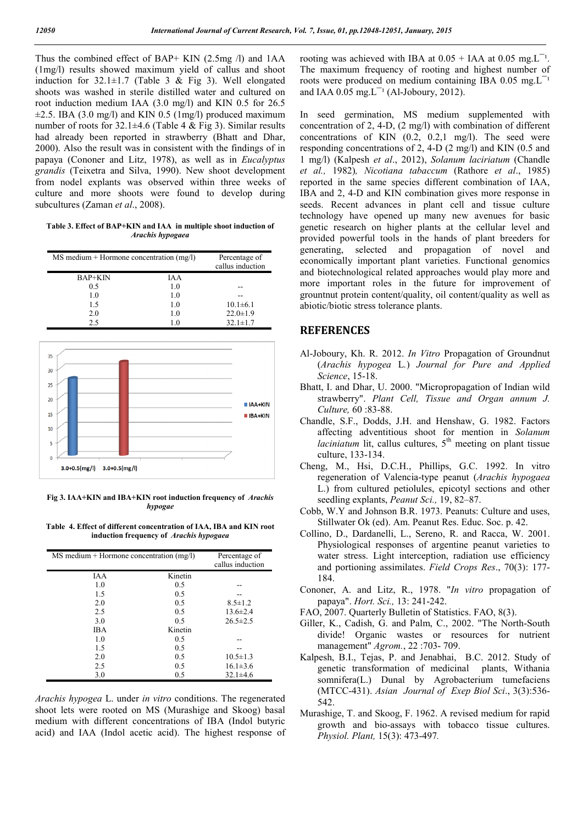Thus the combined effect of BAP+ KIN (2.5mg /l) and 1AA (1mg/l) results showed maximum yield of callus and shoot induction for  $32.1 \pm 1.7$  (Table 3 & Fig 3). Well elongated shoots was washed in sterile distilled water and cultured on root induction medium IAA (3.0 mg/l) and KIN 0.5 for 26.5  $\pm 2.5$ . IBA (3.0 mg/l) and KIN 0.5 (1mg/l) produced maximum number of roots for  $32.1 \pm 4.6$  (Table 4 & Fig 3). Similar results had already been reported in strawberry (Bhatt and Dhar, 2000). Also the result was in consistent with the findings of in papaya (Cononer and Litz, 1978), as well as in *Eucalyptus grandis* (Teixetra and Silva, 1990). New shoot development from nodel explants was observed within three weeks of culture and more shoots were found to develop during subcultures (Zaman *et al*., 2008).

**Table 3. Effect of BAP+KIN and IAA in multiple shoot induction of**  *Arachis hypogaea*

| $MS$ medium + Hormone concentration (mg/l) |            | Percentage of<br>callus induction |
|--------------------------------------------|------------|-----------------------------------|
| $BAP+KIN$                                  | <b>IAA</b> |                                   |
| 0.5                                        | 1.0        |                                   |
| 1.0                                        | 1.0        |                                   |
| 1.5                                        | 1.0        | $10.1 \pm 6.1$                    |
| 2.0                                        | 1.0        | $22.0 \pm 1.9$                    |
| 2.5                                        | - 0        | $32.1 \pm 1.7$                    |



**Fig 3. IAA+KIN and IBA+KIN root induction frequency of** *Arachis hypogae*

**Table 4. Effect of different concentration of IAA, IBA and KIN root induction frequency of** *Arachis hypogaea*

| $MS$ medium + Hormone concentration (mg/l) |         | Percentage of<br>callus induction |
|--------------------------------------------|---------|-----------------------------------|
| IAA                                        | Kinetin |                                   |
| 1.0                                        | 0.5     |                                   |
| 1.5                                        | 0.5     |                                   |
| 2.0                                        | 0.5     | $8.5 \pm 1.2$                     |
| 2.5                                        | 0.5     | $13.6 \pm 2.4$                    |
| 3.0                                        | 0.5     | $26.5 \pm 2.5$                    |
| <b>IBA</b>                                 | Kinetin |                                   |
| 1.0                                        | 0.5     |                                   |
| 1.5                                        | 0.5     |                                   |
| 2.0                                        | 0.5     | $10.5 \pm 1.3$                    |
| 2.5                                        | 0.5     | $16.1 \pm 3.6$                    |
| 3.0                                        | 0.5     | $32.1 \pm 4.6$                    |

*Arachis hypogea* L. under *in vitro* conditions. The regenerated shoot lets were rooted on MS (Murashige and Skoog) basal medium with different concentrations of IBA (Indol butyric acid) and IAA (Indol acetic acid). The highest response of rooting was achieved with IBA at  $0.05 + IAA$  at  $0.05$  mg.L<sup>-1</sup>. The maximum frequency of rooting and highest number of roots were produced on medium containing IBA 0.05 mg. $L^{-1}$ and IAA  $0.05$  mg.  $L^{-1}$  (Al-Joboury, 2012).

In seed germination, MS medium supplemented with concentration of 2, 4-D, (2 mg/l) with combination of different concentrations of KIN (0.2, 0.2,1 mg/l). The seed were responding concentrations of 2, 4-D (2 mg/l) and KIN (0.5 and 1 mg/l) (Kalpesh *et al*., 2012), *Solanum laciriatum* (Chandle *et al.,* 1982)*, Nicotiana tabaccum* (Rathore *et al*., 1985) reported in the same species different combination of IAA, IBA and 2, 4-D and KIN combination gives more response in seeds. Recent advances in plant cell and tissue culture technology have opened up many new avenues for basic genetic research on higher plants at the cellular level and provided powerful tools in the hands of plant breeders for generating, selected and propagation of novel and economically important plant varieties. Functional genomics and biotechnological related approaches would play more and more important roles in the future for improvement of grountnut protein content/quality, oil content/quality as well as abiotic/biotic stress tolerance plants.

### **REFERENCES**

- Al-Joboury, Kh. R. 2012. *In Vitro* Propagation of Groundnut (*Arachis hypogea* L*.*) *Journal for Pure and Applied Science*, 15-18.
- Bhatt, I. and Dhar, U. 2000. "Micropropagation of Indian wild strawberry". *Plant Cell, Tissue and Organ annum J. Culture,* 60 :83-88.
- Chandle, S.F., Dodds, J.H. and Henshaw, G. 1982. Factors affecting adventitious shoot for mention in *Solanum laciniatum* lit, callus cultures,  $5<sup>th</sup>$  meeting on plant tissue culture, 133-134.
- Cheng, M., Hsi, D.C.H., Phillips, G.C. 1992. In vitro regeneration of Valencia-type peanut (*Arachis hypogaea*  L.) from cultured petiolules, epicotyl sections and other seedling explants, *Peanut Sci.,* 19, 82–87.
- Cobb, W.Y and Johnson B.R. 1973. Peanuts: Culture and uses, Stillwater Ok (ed). Am. Peanut Res. Educ. Soc. p. 42.
- Collino, D., Dardanelli, L., Sereno, R. and Racca, W. 2001. Physiological responses of argentine peanut varieties to water stress. Light interception, radiation use efficiency and portioning assimilates. *Field Crops Res*., 70(3): 177- 184.
- Cononer, A. and Litz, R., 1978. "*In vitro* propagation of papaya". *Hort. Sci.,* 13: 241-242.
- FAO, 2007. Quarterly Bulletin of Statistics. FAO, 8(3).
- Giller, K., Cadish, G. and Palm, C., 2002. "The North-South divide! Organic wastes or resources for nutrient management" *Agrom.*, 22 :703- 709.
- Kalpesh, B.I., Tejas, P. and Jenabhai, B.C. 2012. Study of genetic transformation of medicinal plants, Withania somnifera(L.) Dunal by Agrobacterium tumefaciens (MTCC-431). *Asian Journal of Exep Biol Sci*., 3(3):536- 542.
- Murashige, T. and Skoog, F. 1962. A revised medium for rapid growth and bio-assays with tobacco tissue cultures. *Physiol. Plant,* 15(3): 473-497*.*